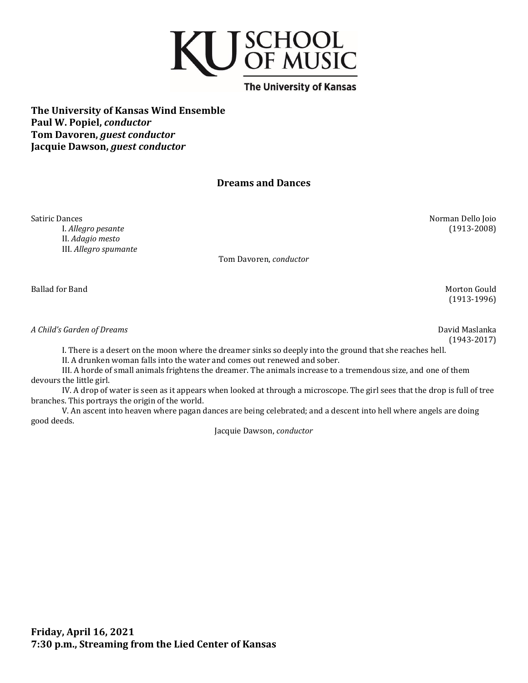

**The University of Kansas Wind Ensemble Paul W. Popiel,** *conductor* **Tom Davoren,** *guest conductor* **Jacquie Dawson,** *guest conductor*

# **Dreams and Dances**

Satiric Dances Norman Dello Joio I. *Allegro pesante* (1913-2008) II. *Adagio mesto* III. *Allegro spumante*

Tom Davoren, *conductor*

Ballad for Band Morton Gould

*A Child's Garden of Dreams* David Maslanka

(1943-2017)

(1913-1996)

I. There is a desert on the moon where the dreamer sinks so deeply into the ground that she reaches hell.

II. A drunken woman falls into the water and comes out renewed and sober.

III. A horde of small animals frightens the dreamer. The animals increase to a tremendous size, and one of them devours the little girl.

IV. A drop of water is seen as it appears when looked at through a microscope. The girl sees that the drop is full of tree branches. This portrays the origin of the world.

V. An ascent into heaven where pagan dances are being celebrated; and a descent into hell where angels are doing good deeds.

Jacquie Dawson, *conductor*

**Friday, April 16, 2021 7:30 p.m., Streaming from the Lied Center of Kansas**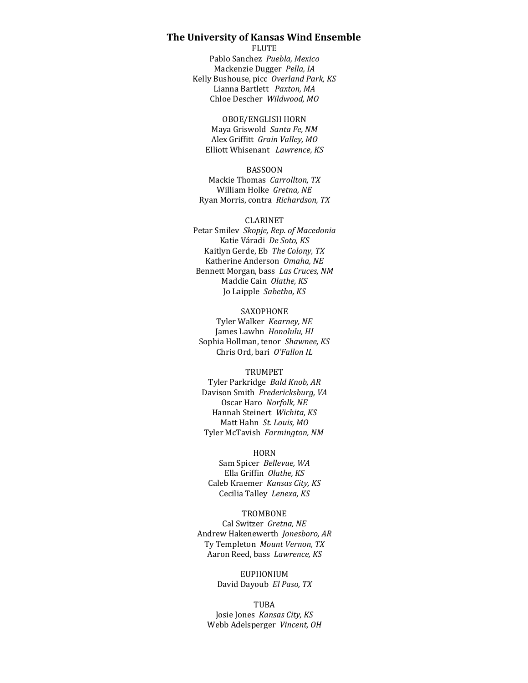## **The University of Kansas Wind Ensemble**

FLUTE

Pablo Sanchez *Puebla, Mexico* Mackenzie Dugger *Pella, IA* Kelly Bushouse, picc *Overland Park, KS* Lianna Bartlett *Paxton, MA* Chloe Descher *Wildwood, MO*

OBOE/ENGLISH HORN

Maya Griswold *Santa Fe, NM* Alex Griffitt *Grain Valley, MO* Elliott Whisenant *Lawrence, KS*

#### BASSOON

Mackie Thomas *Carrollton, TX* William Holke *Gretna, NE* Ryan Morris, contra *Richardson, TX*

#### CLARINET

Petar Smilev *Skopje, Rep. of Macedonia* Katie Váradi *De Soto, KS* Kaitlyn Gerde, Eb *The Colony, TX* Katherine Anderson *Omaha, NE* Bennett Morgan, bass *Las Cruces, NM* Maddie Cain *Olathe, KS* Jo Laipple *Sabetha, KS*

SAXOPHONE

Tyler Walker *Kearney, NE* James Lawhn *Honolulu, HI* Sophia Hollman, tenor *Shawnee, KS* Chris Ord, bari *O'Fallon IL*

#### **TRUMPET**

Tyler Parkridge *Bald Knob, AR* Davison Smith *Fredericksburg, VA* Oscar Haro *Norfolk, NE* Hannah Steinert *Wichita, KS* Matt Hahn *St. Louis, MO* Tyler McTavish *Farmington, NM*

#### HORN

Sam Spicer *Bellevue, WA* Ella Griffin *Olathe, KS* Caleb Kraemer *Kansas City, KS* Cecilia Talley *Lenexa, KS*

#### TROMBONE

Cal Switzer *Gretna, NE* Andrew Hakenewerth *Jonesboro, AR* Ty Templeton *Mount Vernon, TX* Aaron Reed, bass *Lawrence, KS*

## EUPHONIUM David Dayoub *El Paso, TX*

### TUBA

Josie Jones *Kansas City, KS* Webb Adelsperger *Vincent, OH*